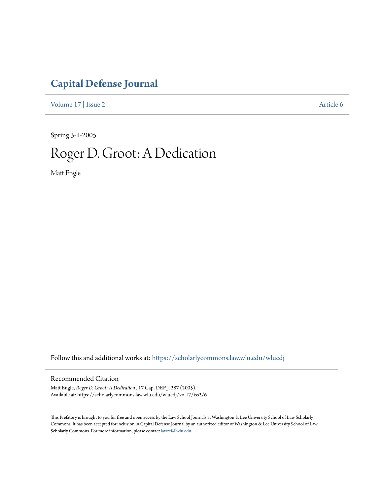## **[Capital Defense Journal](https://scholarlycommons.law.wlu.edu/wlucdj?utm_source=scholarlycommons.law.wlu.edu%2Fwlucdj%2Fvol17%2Fiss2%2F6&utm_medium=PDF&utm_campaign=PDFCoverPages)**

[Volume 17](https://scholarlycommons.law.wlu.edu/wlucdj/vol17?utm_source=scholarlycommons.law.wlu.edu%2Fwlucdj%2Fvol17%2Fiss2%2F6&utm_medium=PDF&utm_campaign=PDFCoverPages) | [Issue 2](https://scholarlycommons.law.wlu.edu/wlucdj/vol17/iss2?utm_source=scholarlycommons.law.wlu.edu%2Fwlucdj%2Fvol17%2Fiss2%2F6&utm_medium=PDF&utm_campaign=PDFCoverPages) [Article 6](https://scholarlycommons.law.wlu.edu/wlucdj/vol17/iss2/6?utm_source=scholarlycommons.law.wlu.edu%2Fwlucdj%2Fvol17%2Fiss2%2F6&utm_medium=PDF&utm_campaign=PDFCoverPages)

Spring 3-1-2005

## Roger D. Groot: A Dedication

Matt Engle

Follow this and additional works at: [https://scholarlycommons.law.wlu.edu/wlucdj](https://scholarlycommons.law.wlu.edu/wlucdj?utm_source=scholarlycommons.law.wlu.edu%2Fwlucdj%2Fvol17%2Fiss2%2F6&utm_medium=PDF&utm_campaign=PDFCoverPages)

## Recommended Citation

Matt Engle, *Roger D. Groot: A Dedication* , 17 Cap. DEF J. 287 (2005). Available at: https://scholarlycommons.law.wlu.edu/wlucdj/vol17/iss2/6

This Prefatory is brought to you for free and open access by the Law School Journals at Washington & Lee University School of Law Scholarly Commons. It has been accepted for inclusion in Capital Defense Journal by an authorized editor of Washington & Lee University School of Law Scholarly Commons. For more information, please contact [lawref@wlu.edu.](mailto:lawref@wlu.edu)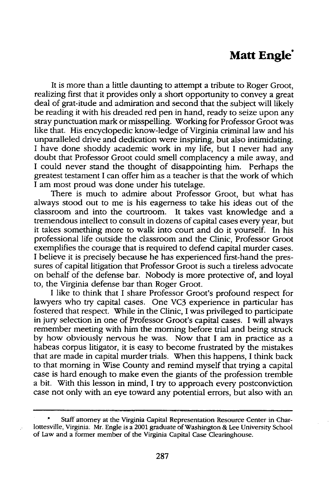## **Matt Engle**

It is more than a little daunting to attempt a tribute to Roger Groot, realizing first that it provides only a short opportunity to convey a great deal of grat-itude and admiration and second that the subject will likely be reading it with his dreaded red pen in hand, ready to seize upon any stray punctuation mark or misspelling. Working for Professor Groot was like that. His encyclopedic know-ledge of Virginia criminal law and his unparalleled drive and dedication were inspiring, but also intimidating. I have done shoddy academic work in my life, but I never had any doubt that Professor Groot could smell complacency a mile away, and I could never stand the thought of disappointing him. Perhaps the greatest testament I can offer him as a teacher is that the work of which I am most proud was done under his tutelage.

There is much to admire about Professor Groot, but what has always stood out to me is his eagerness to take his ideas out of the classroom and into the courtroom. It takes vast knowledge and a tremendous intellect to consult in dozens of capital cases every year, but it takes something more to walk into court and do it yourself. In his professional life outside the classroom and the Clinic, Professor Groot exemplifies the courage that is required to defend capital murder cases. I believe it is precisely because he has experienced first-hand the pressures of capital litigation that Professor Groot is such a tireless advocate on behalf of the defense bar. Nobody is more protective of, and loyal to, the Virginia defense bar than Roger Groot.

I like to think that I share Professor Groot's profound respect for lawyers who try capital cases. One VC3 experience in particular has fostered that respect. While in the Clinic, I was privileged to participate in jury selection in one of Professor Groot's capital cases. I will always remember meeting with him the morning before trial and being struck by how obviously nervous he was. Now that I am in practice as a habeas corpus litigator, it is easy to become frustrated by the mistakes that are made in capital murder trials. When this happens, I think back to that morning in Wise County and remind myself that trying a capital case is hard enough to make even the giants of the profession tremble a bit. With this lesson in mind, I try to approach every postconviction case not only with an eye toward any potential errors, but also with an

Staff attorney at the Virginia Capital Representation Resource Center in Charlottesville, Virginia. Mr. Engle is a 2001 graduate of Washington & Lee University School of Law and a former member of the Virginia Capital Case Clearinghouse.